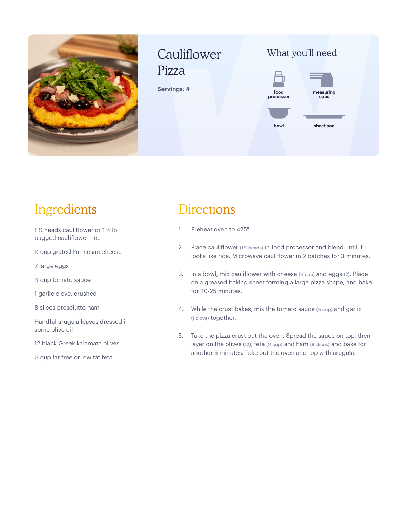

# Cauliflower Pizza

**Servings: 4**



**bowl sheet pan**

## Ingredients

1 ½ heads cauliflower or 1 ½ lb bagged cauliflower rice

½ cup grated Parmesan cheese

2 large eggs

½ cup tomato sauce

1 garlic clove, crushed

8 slices prosciutto ham

Handful arugula leaves dressed in some olive oil

12 black Greek kalamata olives

½ cup fat free or low fat feta

### **Directions**

- 1. Preheat oven to 425°.
- 2. Place cauliflower (1% heads) in food processor and blend until it looks like rice. Microwave cauliflower in 2 batches for 3 minutes.
- 3. In a bowl, mix cauliflower with cheese (½ cup) and eggs (2). Place on a greased baking sheet forming a large pizza shape, and bake for 20-25 minutes.
- 4. While the crust bakes, mix the tomato sauce (½ cup) and garlic (1 clove) together.
- 5. Take the pizza crust out the oven. Spread the sauce on top, then layer on the olives (12), feta (½ cup) and ham (8 slices) and bake for another 5 minutes. Take out the oven and top with arugula.